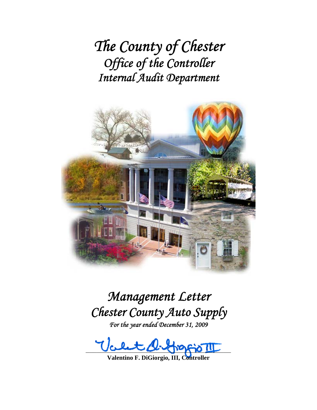*The County of Chester Office of the Controller Internal Audit Department*



# *Management Letter Chester County Auto Supply For the year ended December 31, 2009*

  $\mathcal{U}$ clet st. Hario III

**Valentino F. DiGiorgio, III, Controller**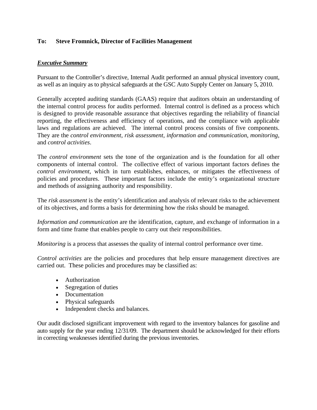# **To: Steve Fromnick, Director of Facilities Management**

## *Executive Summary*

Pursuant to the Controller's directive, Internal Audit performed an annual physical inventory count, as well as an inquiry as to physical safeguards at the GSC Auto Supply Center on January 5, 2010.

Generally accepted auditing standards (GAAS) require that auditors obtain an understanding of the internal control process for audits performed. Internal control is defined as a process which is designed to provide reasonable assurance that objectives regarding the reliability of financial reporting, the effectiveness and efficiency of operations, and the compliance with applicable laws and regulations are achieved. The internal control process consists of five components. They are the *control environment*, *risk assessment*, *information and communication*, *monitoring*, and *control activities*.

The *control environment* sets the tone of the organization and is the foundation for all other components of internal control. The collective effect of various important factors defines the *control environment*, which in turn establishes, enhances, or mitigates the effectiveness of policies and procedures. These important factors include the entity's organizational structure and methods of assigning authority and responsibility.

The *risk assessment* is the entity's identification and analysis of relevant risks to the achievement of its objectives, and forms a basis for determining how the risks should be managed.

*Information and communication* are the identification, capture, and exchange of information in a form and time frame that enables people to carry out their responsibilities.

*Monitoring* is a process that assesses the quality of internal control performance over time.

*Control activities* are the policies and procedures that help ensure management directives are carried out. These policies and procedures may be classified as:

- Authorization
- Segregation of duties
- Documentation
- Physical safeguards
- Independent checks and balances.

Our audit disclosed significant improvement with regard to the inventory balances for gasoline and auto supply for the year ending 12/31/09. The department should be acknowledged for their efforts in correcting weaknesses identified during the previous inventories.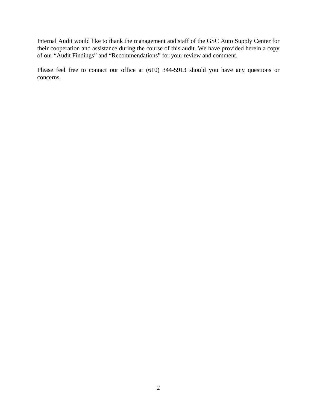Internal Audit would like to thank the management and staff of the GSC Auto Supply Center for their cooperation and assistance during the course of this audit. We have provided herein a copy of our "Audit Findings" and "Recommendations" for your review and comment.

Please feel free to contact our office at (610) 344-5913 should you have any questions or concerns.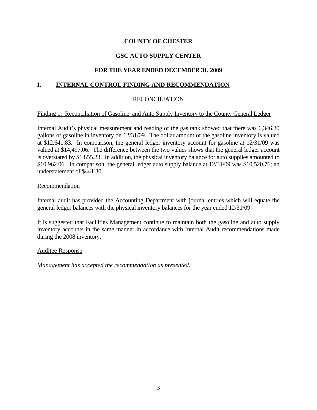# **COUNTY OF CHESTER**

# **GSC AUTO SUPPLY CENTER**

# **FOR THE YEAR ENDED DECEMBER 31, 2009**

## **I. INTERNAL CONTROL FINDING AND RECOMMENDATION**

#### RECONCILIATION

#### Finding 1: Reconciliation of Gasoline and Auto Supply Inventory to the County General Ledger

Internal Audit's physical measurement and reading of the gas tank showed that there was 6,346.30 gallons of gasoline in inventory on 12/31/09. The dollar amount of the gasoline inventory is valued at \$12,641.83. In comparison, the general ledger inventory account for gasoline at 12/31/09 was valued at \$14,497.06. The difference between the two values shows that the general ledger account is overstated by \$1,855.23. In addition, the physical inventory balance for auto supplies amounted to \$10,962.06. In comparison, the general ledger auto supply balance at 12/31/09 was \$10,520.76; an understatement of \$441.30.

#### Recommendation

Internal audit has provided the Accounting Department with journal entries which will equate the general ledger balances with the physical inventory balances for the year ended 12/31/09.

It is suggested that Facilities Management continue to maintain both the gasoline and auto supply inventory accounts in the same manner in accordance with Internal Audit recommendations made during the 2008 inventory.

#### Auditee Response

*Management has accepted the recommendation as presented*.